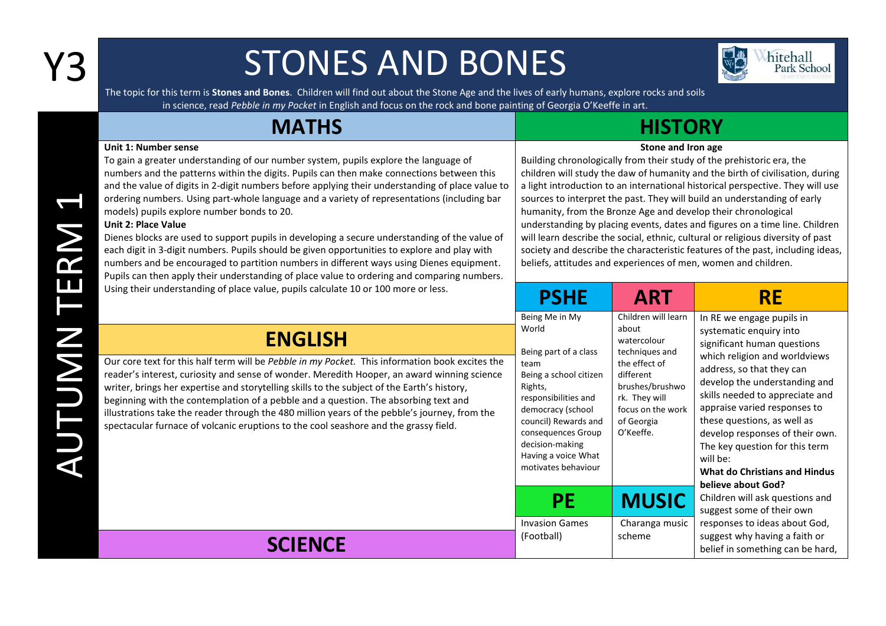## Y3 STONES AND BONES

四 hitehall<br>Park School

The topic for this term is **Stones and Bones**. Children will find out about the Stone Age and the lives of early humans, explore rocks and soils in science, read *Pebble in my Pocket* in English and focus on the rock and bone painting of Georgia O'Keeffe in art.

| <b>MATHS</b>                                                                                                                                                                                                                                                                                                                                                                                                                                                                                                                                                                                                                                                                                                                                                                                                                                                                                |                                                                                                                                                                                                                                                                        | <b>HISTORY</b>                                                                                                                                                                                                                                                                                                                                                                                                                                                                                                                                                                                                                                                                                                                    |                                                                                                                                                                                                                                                                                                                                                                                                                                                                                                     |
|---------------------------------------------------------------------------------------------------------------------------------------------------------------------------------------------------------------------------------------------------------------------------------------------------------------------------------------------------------------------------------------------------------------------------------------------------------------------------------------------------------------------------------------------------------------------------------------------------------------------------------------------------------------------------------------------------------------------------------------------------------------------------------------------------------------------------------------------------------------------------------------------|------------------------------------------------------------------------------------------------------------------------------------------------------------------------------------------------------------------------------------------------------------------------|-----------------------------------------------------------------------------------------------------------------------------------------------------------------------------------------------------------------------------------------------------------------------------------------------------------------------------------------------------------------------------------------------------------------------------------------------------------------------------------------------------------------------------------------------------------------------------------------------------------------------------------------------------------------------------------------------------------------------------------|-----------------------------------------------------------------------------------------------------------------------------------------------------------------------------------------------------------------------------------------------------------------------------------------------------------------------------------------------------------------------------------------------------------------------------------------------------------------------------------------------------|
| <b>Unit 1: Number sense</b><br>To gain a greater understanding of our number system, pupils explore the language of<br>numbers and the patterns within the digits. Pupils can then make connections between this<br>and the value of digits in 2-digit numbers before applying their understanding of place value to<br>ordering numbers. Using part-whole language and a variety of representations (including bar<br>models) pupils explore number bonds to 20.<br><b>Unit 2: Place Value</b><br>Dienes blocks are used to support pupils in developing a secure understanding of the value of<br>each digit in 3-digit numbers. Pupils should be given opportunities to explore and play with<br>numbers and be encouraged to partition numbers in different ways using Dienes equipment.<br>Pupils can then apply their understanding of place value to ordering and comparing numbers. |                                                                                                                                                                                                                                                                        | Stone and Iron age<br>Building chronologically from their study of the prehistoric era, the<br>children will study the daw of humanity and the birth of civilisation, during<br>a light introduction to an international historical perspective. They will use<br>sources to interpret the past. They will build an understanding of early<br>humanity, from the Bronze Age and develop their chronological<br>understanding by placing events, dates and figures on a time line. Children<br>will learn describe the social, ethnic, cultural or religious diversity of past<br>society and describe the characteristic features of the past, including ideas,<br>beliefs, attitudes and experiences of men, women and children. |                                                                                                                                                                                                                                                                                                                                                                                                                                                                                                     |
| Using their understanding of place value, pupils calculate 10 or 100 more or less.                                                                                                                                                                                                                                                                                                                                                                                                                                                                                                                                                                                                                                                                                                                                                                                                          | <b>PSHE</b>                                                                                                                                                                                                                                                            | <b>ART</b>                                                                                                                                                                                                                                                                                                                                                                                                                                                                                                                                                                                                                                                                                                                        | <b>RE</b>                                                                                                                                                                                                                                                                                                                                                                                                                                                                                           |
| <b>ENGLISH</b><br>Our core text for this half term will be Pebble in my Pocket. This information book excites the<br>reader's interest, curiosity and sense of wonder. Meredith Hooper, an award winning science<br>writer, brings her expertise and storytelling skills to the subject of the Earth's history,<br>beginning with the contemplation of a pebble and a question. The absorbing text and<br>illustrations take the reader through the 480 million years of the pebble's journey, from the<br>spectacular furnace of volcanic eruptions to the cool seashore and the grassy field.                                                                                                                                                                                                                                                                                             | Being Me in My<br>World<br>Being part of a class<br>team<br>Being a school citizen<br>Rights,<br>responsibilities and<br>democracy (school<br>council) Rewards and<br>consequences Group<br>decision-making<br>Having a voice What<br>motivates behaviour<br><b>PE</b> | Children will learn<br>about<br>watercolour<br>techniques and<br>the effect of<br>different<br>brushes/brushwo<br>rk. They will<br>focus on the work<br>of Georgia<br>O'Keeffe.<br><b>MUSIC</b>                                                                                                                                                                                                                                                                                                                                                                                                                                                                                                                                   | In RE we engage pupils in<br>systematic enquiry into<br>significant human questions<br>which religion and worldviews<br>address, so that they can<br>develop the understanding and<br>skills needed to appreciate and<br>appraise varied responses to<br>these questions, as well as<br>develop responses of their own.<br>The key question for this term<br>will be:<br><b>What do Christians and Hindus</b><br>believe about God?<br>Children will ask questions and<br>suggest some of their own |
| <b>SCIENCE</b>                                                                                                                                                                                                                                                                                                                                                                                                                                                                                                                                                                                                                                                                                                                                                                                                                                                                              | <b>Invasion Games</b><br>(Football)                                                                                                                                                                                                                                    | Charanga music<br>scheme                                                                                                                                                                                                                                                                                                                                                                                                                                                                                                                                                                                                                                                                                                          | responses to ideas about God,<br>suggest why having a faith or<br>belief in something can be hard,                                                                                                                                                                                                                                                                                                                                                                                                  |